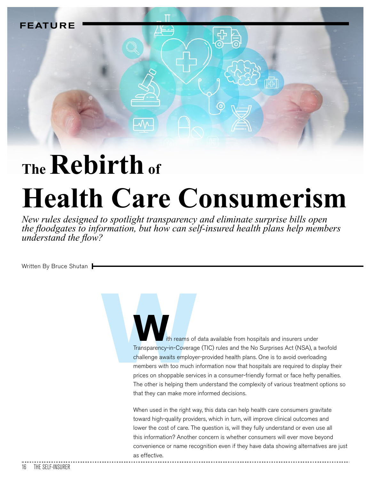

## **The Rebirth of Health Care Consumerism**

*New rules designed to spotlight transparency and eliminate surprise bills open the floodgates to information, but how can self-insured health plans help members <i>X X Mderstand the flow?* 

Written By Bruce Shutan

Transparency-in-Coverage<br>Transparency-in-Coverage<br>challenge awaits employe<br>members with too much is<br>prices on shoppable servi ith reams of data available from hospitals and insurers under Transparency-in-Coverage (TIC) rules and the No Surprises Act (NSA), a twofold challenge awaits employer-provided health plans. One is to avoid overloading members with too much information now that hospitals are required to display their prices on shoppable services in a consumer-friendly format or face hefty penalties. The other is helping them understand the complexity of various treatment options so that they can make more informed decisions.

> When used in the right way, this data can help health care consumers gravitate toward high-quality providers, which in turn, will improve clinical outcomes and lower the cost of care. The question is, will they fully understand or even use all this information? Another concern is whether consumers will ever move beyond convenience or name recognition even if they have data showing alternatives are just as effective.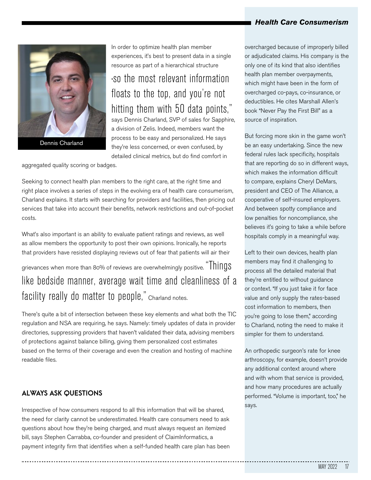

Dennis Charland

In order to optimize health plan member experiences, it's best to present data in a single resource as part of a hierarchical structure

"so the most relevant information floats to the top, and you're not hitting them with 50 data points," says Dennis Charland, SVP of sales for Sapphire,

a division of Zelis. Indeed, members want the process to be easy and personalized. He says they're less concerned, or even confused, by detailed clinical metrics, but do find comfort in

aggregated quality scoring or badges.

Seeking to connect health plan members to the right care, at the right time and right place involves a series of steps in the evolving era of health care consumerism, Charland explains. It starts with searching for providers and facilities, then pricing out services that take into account their benefits, network restrictions and out-of-pocket costs.

What's also important is an ability to evaluate patient ratings and reviews, as well as allow members the opportunity to post their own opinions. Ironically, he reports that providers have resisted displaying reviews out of fear that patients will air their

grievances when more than 80% of reviews are overwhelmingly positive. "Things" like bedside manner, average wait time and cleanliness of a facility really do matter to people," Charland notes.

There's quite a bit of intersection between these key elements and what both the TIC regulation and NSA are requiring, he says. Namely: timely updates of data in provider directories, suppressing providers that haven't validated their data, advising members of protections against balance billing, giving them personalized cost estimates based on the terms of their coverage and even the creation and hosting of machine readable files.

#### **ALWAYS ASK QUESTIONS**

Irrespective of how consumers respond to all this information that will be shared, the need for clarity cannot be underestimated. Health care consumers need to ask questions about how they're being charged, and must always request an itemized bill, says Stephen Carrabba, co-founder and president of ClaimInformatics, a payment integrity firm that identifies when a self-funded health care plan has been

overcharged because of improperly billed or adjudicated claims. His company is the only one of its kind that also identifies health plan member overpayments, which might have been in the form of overcharged co-pays, co-insurance, or deductibles. He cites Marshall Allen's book "Never Pay the First Bill" as a source of inspiration.

But forcing more skin in the game won't be an easy undertaking. Since the new federal rules lack specificity, hospitals that are reporting do so in different ways, which makes the information difficult to compare, explains Cheryl DeMars, president and CEO of The Alliance, a cooperative of self-insured employers. And between spotty compliance and low penalties for noncompliance, she believes it's going to take a while before hospitals comply in a meaningful way.

Left to their own devices, health plan members may find it challenging to process all the detailed material that they're entitled to without guidance or context. "If you just take it for face value and only supply the rates-based cost information to members, then you're going to lose them," according to Charland, noting the need to make it simpler for them to understand.

An orthopedic surgeon's rate for knee arthroscopy, for example, doesn't provide any additional context around where and with whom that service is provided, and how many procedures are actually performed. "Volume is important, too," he says.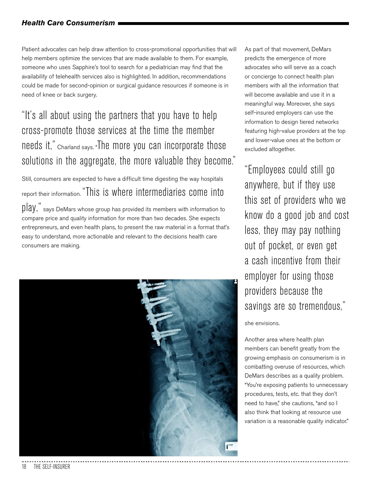Patient advocates can help draw attention to cross-promotional opportunities that will help members optimize the services that are made available to them. For example, someone who uses Sapphire's tool to search for a pediatrician may find that the availability of telehealth services also is highlighted. In addition, recommendations could be made for second-opinion or surgical guidance resources if someone is in need of knee or back surgery.

### "It's all about using the partners that you have to help cross-promote those services at the time the member needs it," Charland says. "The more you can incorporate those solutions in the aggregate, the more valuable they become."

Still, consumers are expected to have a difficult time digesting the way hospitals report their information. "This is where intermediaries come into

 $\lceil \log \frac{m}{n} \rceil$  says DeMars whose group has provided its members with information to compare price and quality information for more than two decades. She expects entrepreneurs, and even health plans, to present the raw material in a format that's easy to understand, more actionable and relevant to the decisions health care consumers are making.



As part of that movement, DeMars predicts the emergence of more advocates who will serve as a coach or concierge to connect health plan members with all the information that will become available and use it in a meaningful way. Moreover, she says self-insured employers can use the information to design tiered networks featuring high-value providers at the top and lower-value ones at the bottom or excluded altogether.

"Employees could still go anywhere, but if they use this set of providers who we know do a good job and cost less, they may pay nothing out of pocket, or even get a cash incentive from their employer for using those providers because the savings are so tremendous,"

she envisions.

Another area where health plan members can benefit greatly from the growing emphasis on consumerism is in combatting overuse of resources, which DeMars describes as a quality problem. "You're exposing patients to unnecessary procedures, tests, etc. that they don't need to have," she cautions, "and so I also think that looking at resource use variation is a reasonable quality indicator."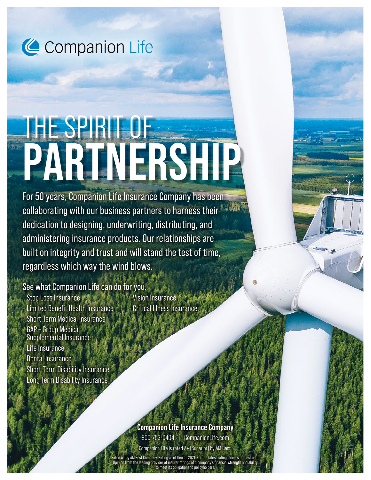Companion Life

# THE SPIRIT OF **PARTNERSHIP**

For 50 years, Companion Life Insurance Company has been collaborating with our business partners to harness their dedication to designing, underwriting, distributing, and administering insurance products. Our relationships are built on integrity and trust and will stand the test of time, regardless which way the wind blows.

See what Companion Life can do for you.

• Stop Loss Insurance • Limited Benefit Health Insurance • Short-Term Medical Insurance • GAP – Group Medical Supplemental Insurance • Life Insurance • Dental Insurance Short Term Disability Insurance • Long Term Disability Insurance

• Vision Insurance **Critical Illness Insurance** 

**Companion Life Insurance Company**  800-753-0404 | CompanionLife.com

Companion Life is rated A+ (Superior) by AM Best.

Rating as of Dec. 9, 2021. For the latest rating Opinion from the leading provider of insurer ratings of a company's financial strength and ability to meet its obligations to policyholders.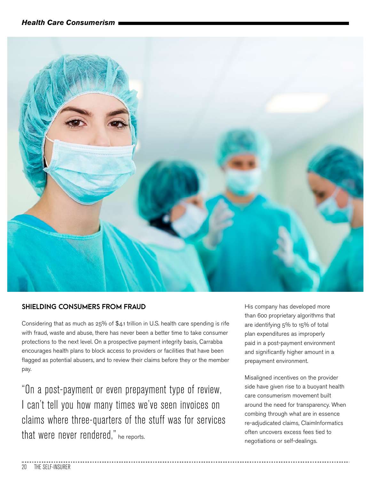

#### **SHIELDING CONSUMERS FROM FRAUD**

Considering that as much as 25% of \$4.1 trillion in U.S. health care spending is rife with fraud, waste and abuse, there has never been a better time to take consumer protections to the next level. On a prospective payment integrity basis, Carrabba encourages health plans to block access to providers or facilities that have been flagged as potential abusers, and to review their claims before they or the member pay.

"On a post-payment or even prepayment type of review, I can't tell you how many times we've seen invoices on claims where three-quarters of the stuff was for services that were never rendered," he reports.

His company has developed more than 600 proprietary algorithms that are identifying 5% to 15% of total plan expenditures as improperly paid in a post-payment environment and significantly higher amount in a prepayment environment.

Misaligned incentives on the provider side have given rise to a buoyant health care consumerism movement built around the need for transparency. When combing through what are in essence re-adjudicated claims, ClaimInformatics often uncovers excess fees tied to negotiations or self-dealings.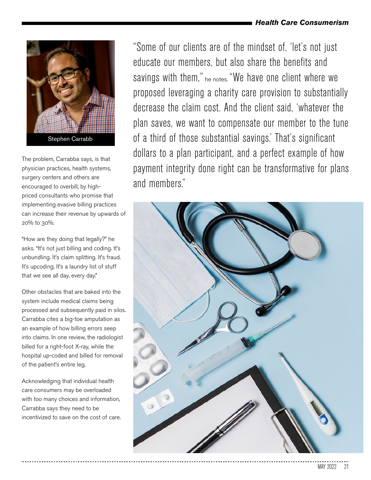

The problem, Carrabba says, is that physician practices, health systems, surgery centers and others are encouraged to overbill, by highpriced consultants who promise that implementing evasive billing practices can increase their revenue by upwards of 20% to 30%.

"How are they doing that legally?" he asks. "It's not just billing and coding. It's unbundling. It's claim splitting. It's fraud. It's upcoding. It's a laundry list of stuff that we see all day, every day."

Other obstacles that are baked into the system include medical claims being processed and subsequently paid in silos. Carrabba cites a big-toe amputation as an example of how billing errors seep into claims. In one review, the radiologist billed for a right-foot X-ray, while the hospital up-coded and billed for removal of the patient's entire leg.

Acknowledging that individual health care consumers may be overloaded with too many choices and information, Carrabba says they need to be incentivized to save on the cost of care. "Some of our clients are of the mindset of, 'let's not just educate our members, but also share the benefits and savings with them," he notes. "We have one client where we proposed leveraging a charity care provision to substantially decrease the claim cost. And the client said, 'whatever the plan saves, we want to compensate our member to the tune of a third of those substantial savings.' That's significant dollars to a plan participant, and a perfect example of how payment integrity done right can be transformative for plans and members."